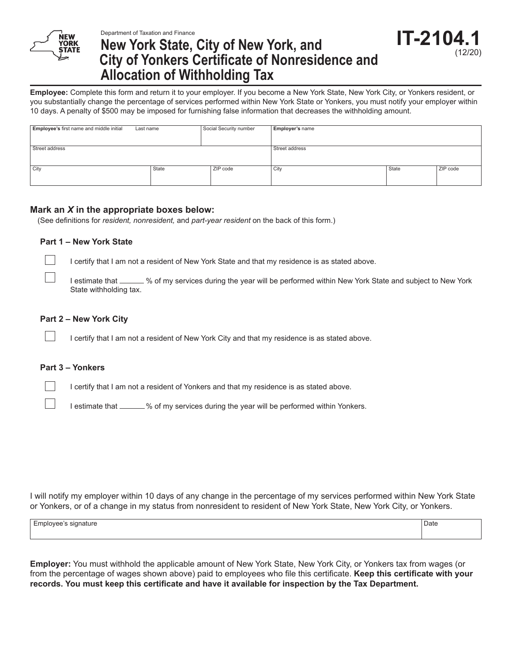

# **New York State, City of New York, and City of Yonkers Certificate of Nonresidence and Allocation of Withholding Tax**

**Employee:** Complete this form and return it to your employer. If you become a New York State, New York City, or Yonkers resident, or you substantially change the percentage of services performed within New York State or Yonkers, you must notify your employer within 10 days. A penalty of \$500 may be imposed for furnishing false information that decreases the withholding amount.

| Employee's first name and middle initial | Last name | Social Security number | <b>Employer's name</b> |       |          |
|------------------------------------------|-----------|------------------------|------------------------|-------|----------|
|                                          |           |                        |                        |       |          |
| Street address                           |           |                        | Street address         |       |          |
|                                          |           |                        |                        |       |          |
| City                                     | State     | ZIP code               | City                   | State | ZIP code |
|                                          |           |                        |                        |       |          |

#### **Mark an** *X* **in the appropriate boxes below:**

(See definitions for *resident, nonresident,* and *part-year resident* on the back of this form.)

#### **Part 1 – New York State**

I certify that I am not a resident of New York State and that my residence is as stated above.

I estimate that \_\_\_\_\_ % of my services during the year will be performed within New York State and subject to New York State withholding tax.

#### **Part 2 – New York City**

I certify that I am not a resident of New York City and that my residence is as stated above.

#### **Part 3 – Yonkers**

I certify that I am not a resident of Yonkers and that my residence is as stated above.

I estimate that \_\_\_\_\_\_% of my services during the year will be performed within Yonkers.

I will notify my employer within 10 days of any change in the percentage of my services performed within New York State or Yonkers, or of a change in my status from nonresident to resident of New York State, New York City, or Yonkers.

Employee's signature Date Date of Date Date of Date of Date of Date of Date of Date of Date of Date of Date of Date of Date of Date of Date of Date of Date of Date of Date of Date of Date of Date of Date of Date of Date of

**Employer:** You must withhold the applicable amount of New York State, New York City, or Yonkers tax from wages (or from the percentage of wages shown above) paid to employees who file this certificate. **Keep this certificate with your records. You must keep this certificate and have it available for inspection by the Tax Department.**